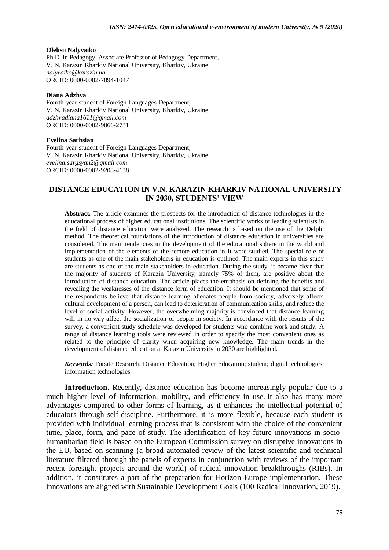#### **Oleksii Nalyvaiko**

Ph.D. in Pedagogy, Associate Professor of Pedagogy Department, V. N. Karazin Kharkiv National University, Kharkiv, Ukraine *nalyvaiko@karazin.ua* ORCID: 0000-0002-7094-1047

#### **Diana Adzhva**

Fourth-year student of Foreign Languages Department, V. N. Karazin Kharkiv National University, Kharkiv, Ukraine *adzhvadiana1611@gmail.com* ORCID: 0000-0002-9066-2731

#### **Evelina Sarhsian**

Fourth-year student of Foreign Languages Department, V. N. Karazin Kharkiv National University, Kharkiv, Ukraine *evelina.sargsyan2@gmail.com* ORCID: 0000-0002-9208-4138

### **DISTANCE EDUCATION IN V.N. KARAZIN KHARKIV NATIONAL UNIVERSITY IN 2030, STUDENTS' VIEW**

**Abstract.** The article examines the prospects for the introduction of distance technologies in the educational process of higher educational institutions. The scientific works of leading scientists in the field of distance education were analyzed. The research is based on the use of the Delphi method. The theoretical foundations of the introduction of distance education in universities are considered. The main tendencies in the development of the educational sphere in the world and implementation of the elements of the remote education in it were studied. The special role of students as one of the main stakeholders in education is outlined. The main experts in this study are students as one of the main stakeholders in education. During the study, it became clear that the majority of students of Karazin University, namely 75% of them, are positive about the introduction of distance education. The article places the emphasis on defining the benefits and revealing the weaknesses of the distance form of education. It should be mentioned that some of the respondents believe that distance learning alienates people from society, adversely affects cultural development of a person, can lead to deterioration of communication skills, and reduce the level of social activity. However, the overwhelming majority is convinced that distance learning will in no way affect the socialization of people in society. In accordance with the results of the survey, a convenient study schedule was developed for students who combine work and study. A range of distance learning tools were reviewed in order to specify the most convenient ones as related to the principle of clarity when acquiring new knowledge. The main trends in the development of distance education at Karazin University in 2030 are highlighted.

*Keywords:* Forsite Research; Distance Education; Higher Education; student; digital technologies; information technologies

**Introductıon.** Recently, distance education has become increasingly popular due to a much higher level of information, mobility, and efficiency in use. It also has many more advantages compared to other forms of learning, as it enhances the intellectual potential of educators through self-discipline. Furthermore, it is more flexible, because each student is provided with individual learning process that is consistent with the choice of the convenient time, place, form, and pace of study. The identification of key future innovations in sociohumanitarian field is based on the European Commission survey on disruptive innovations in the EU, based on scanning (a broad automated review of the latest scientific and technical literature filtered through the panels of experts in conjunction with reviews of the important recent foresight projects around the world) of radical innovation breakthroughs (RIBs). In addition, it constitutes a part of the preparation for Horizon Europe implementation. These innovations are aligned with Sustainable Development Goals (100 Radical Innovation, 2019).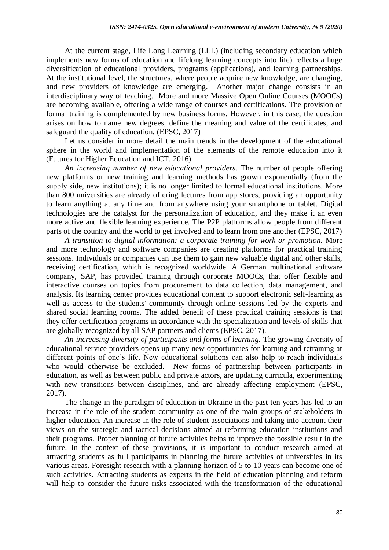At the current stage, Life Long Learning (LLL) (including secondary education which implements new forms of education and lifelong learning concepts into life) reflects a huge diversification of educational providers, programs (applications), and learning partnerships. At the institutional level, the structures, where people acquire new knowledge, are changing, and new providers of knowledge are emerging. Another major change consists in an interdisciplinary way of teaching. More and more Massive Open Online Courses (MOOCs) are becoming available, offering a wide range of courses and certifications. The provision of formal training is complemented by new business forms. However, in this case, the question arises on how to name new degrees, define the meaning and value of the certificates, and safeguard the quality of education. (EPSC, 2017)

Let us consider in more detail the main trends in the development of the educational sphere in the world and implementation of the elements of the remote education into it (Futures for Higher Education and ICT, 2016).

*An increasing number of new educational providers*. The number of people offering new platforms or new training and learning methods has grown exponentially (from the supply side, new institutions); it is no longer limited to formal educational institutions. More than 800 universities are already offering lectures from app stores, providing an opportunity to learn anything at any time and from anywhere using your smartphone or tablet. Digital technologies are the catalyst for the personalization of education, and they make it an even more active and flexible learning experience. The P2P platforms allow people from different parts of the country and the world to get involved and to learn from one another (EPSC, 2017)

*A transition to digital information: a corporate training for work or promotion.* More and more technology and software companies are creating platforms for practical training sessions. Individuals or companies can use them to gain new valuable digital and other skills, receiving certification, which is recognized worldwide. A German multinational software company, SAP, has provided training through corporate MOOCs, that offer flexible and interactive courses on topics from procurement to data collection, data management, and analysis. Its learning center provides educational content to support electronic self-learning as well as access to the students' community through online sessions led by the experts and shared social learning rooms. The added benefit of these practical training sessions is that they offer certification programs in accordance with the specialization and levels of skills that are globally recognized by all SAP partners and clients (EPSC, 2017).

*An increasing diversity of participants and forms of learning.* The growing diversity of educational service providers opens up many new opportunities for learning and retraining at different points of one's life. New educational solutions can also help to reach individuals who would otherwise be excluded. New forms of partnership between participants in education, as well as between public and private actors, are updating curricula, experimenting with new transitions between disciplines, and are already affecting employment (EPSC, 2017).

The change in the paradigm of education in Ukraine in the past ten years has led to an increase in the role of the student community as one of the main groups of stakeholders in higher education. An increase in the role of student associations and taking into account their views on the strategic and tactical decisions aimed at reforming education institutions and their programs. Proper planning of future activities helps to improve the possible result in the future. In the context of these provisions, it is important to conduct research aimed at attracting students as full participants in planning the future activities of universities in its various areas. Foresight research with a planning horizon of 5 to 10 years can become one of such activities. Attracting students as experts in the field of education planning and reform will help to consider the future risks associated with the transformation of the educational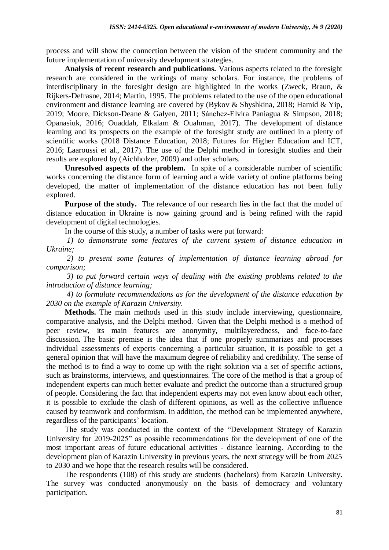process and will show the connection between the vision of the student community and the future implementation of university development strategies.

**Analysis of recent research and publications.** Various aspects related to the foresight research are considered in the writings of many scholars. For instance, the problems of interdisciplinary in the foresight design are highlighted in the works (Zweck, Braun, & Rijkers-Defrasne, 2014; Martin, 1995. The problems related to the use of the open educational environment and distance learning are covered by (Bykov & Shyshkina, 2018; Hamid & Yip, 2019; Moore, Dickson-Deane & Galyen, 2011; Sánchez-Elvira Paniagua & Simpson, 2018; Opanasiuk, 2016; Ouaddah, Elkalam & Ouahman, 2017). The development of distance learning and its prospects on the example of the foresight study are outlined in a plenty of scientific works (2018 Distance Education, 2018; Futures for Higher Education and ICT, 2016; Laaroussi et al., 2017). The use of the Delphi method in foresight studies and their results are explored by (Aichholzer, 2009) and other scholars.

**Unresolved aspects of the problem.** In spite of a considerable number of scientific works concerning the distance form of learning and a wide variety of online platforms being developed, the matter of implementation of the distance education has not been fully explored.

**Purpose of the study.** The relevance of our research lies in the fact that the model of distance education in Ukraine is now gaining ground and is being refined with the rapid development of digital technologies.

In the course of this study, a number of tasks were put forward:

*1) to demonstrate some features of the current system of distance education in Ukraine;*

*2) to present some features of implementation of distance learning abroad for comparison;*

*3) to put forward certain ways of dealing with the existing problems related to the introduction of distance learning;*

*4) to formulate recommendations as for the development of the distance education by 2030 on the example of Karazin University.*

**Methods.** The main methods used in this study include interviewing, questionnaire, comparative analysis, and the Delphi method. Given that the Delphi method is a method of peer review, its main features are anonymity, multilayeredness, and face-to-face discussion. The basic premise is the idea that if one properly summarizes and processes individual assessments of experts concerning a particular situation, it is possible to get a general opinion that will have the maximum degree of reliability and credibility. The sense of the method is to find a way to come up with the right solution via a set of specific actions, such as brainstorms, interviews, and questionnaires. The core of the method is that a group of independent experts can much better evaluate and predict the outcome than a structured group of people. Considering the fact that independent experts may not even know about each other, it is possible to exclude the clash of different opinions, as well as the collective influence caused by teamwork and conformism. In addition, the method can be implemented anywhere, regardless of the participants' location.

The study was conducted in the context of the "Development Strategy of Karazin University for 2019-2025" as possible recommendations for the development of one of the most important areas of future educational activities - distance learning. According to the development plan of Karazin University in previous years, the next strategy will be from 2025 to 2030 and we hope that the research results will be considered.

The respondents (108) of this study are students (bachelors) from Karazin University. The survey was conducted anonymously on the basis of democracy and voluntary participation.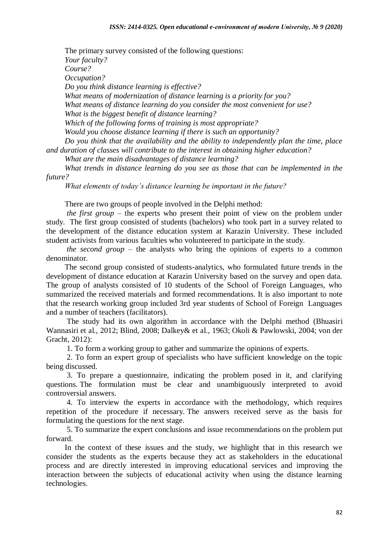The primary survey consisted of the following questions: *Your faculty? Course? Occupation? Do you think distance learning is effective? What means of modernization of distance learning is a priority for you? What means of distance learning do you consider the most convenient for use? What is the biggest benefit of distance learning? Which of the following forms of training is most appropriate? Would you choose distance learning if there is such an opportunity? Do you think that the availability and the ability to independently plan the time, place* 

*and duration of classes will contribute to the interest in obtaining higher education?*

*What are the main disadvantages of distance learning?*

*What trends in distance learning do you see as those that can be implemented in the future?*

*What elements of today's distance learning be important in the future?*

There are two groups of people involved in the Delphi method:

*the first group* – the experts who present their point of view on the problem under study. The first group consisted of students (bachelors) who took part in a survey related to the development of the distance education system at Karazin University. These included student activists from various faculties who volunteered to participate in the study.

*the second group* – the analysts who bring the opinions of experts to a common denominator.

The second group consisted of students-analytics, who formulated future trends in the development of distance education at Karazin University based on the survey and open data. The group of analysts consisted of 10 students of the School of Foreign Languages, who summarized the received materials and formed recommendations. It is also important to note that the research working group included 3rd year students of School of Foreign Languages and a number of teachers (facilitators).

The study had its own algorithm in accordance with the Delphi method (Bhuasiri Wannasiri et al., 2012; Blind, 2008; Dalkey& et al., 1963; Okoli & Pawlowski, 2004; von der Gracht, 2012):

1. To form a working group to gather and summarize the opinions of experts.

2. To form an expert group of specialists who have sufficient knowledge on the topic being discussed.

3. To prepare a questionnaire, indicating the problem posed in it, and clarifying questions. The formulation must be clear and unambiguously interpreted to avoid controversial answers.

4. To interview the experts in accordance with the methodology, which requires repetition of the procedure if necessary. The answers received serve as the basis for formulating the questions for the next stage.

5. To summarize the expert conclusions and issue recommendations on the problem put forward.

In the context of these issues and the study, we highlight that in this research we consider the students as the experts because they act as stakeholders in the educational process and are directly interested in improving educational services and improving the interaction between the subjects of educational activity when using the distance learning technologies.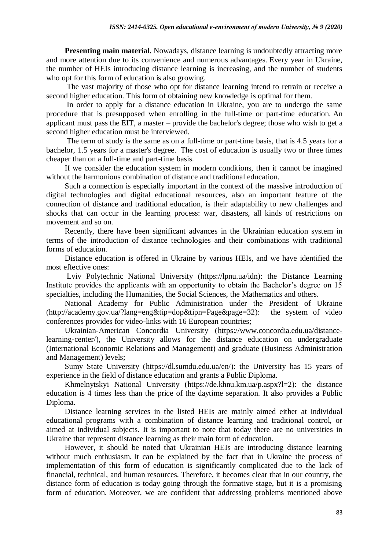**Presenting main material.** Nowadays, distance learning is undoubtedly attracting more and more attention due to its convenience and numerous advantages. Every year in Ukraine, the number of HEIs introducing distance learning is increasing, and the number of students who opt for this form of education is also growing.

The vast majority of those who opt for distance learning intend to retrain or receive a second higher education. This form of obtaining new knowledge is optimal for them.

In order to apply for a distance education in Ukraine, you are to undergo the same procedure that is presupposed when enrolling in the full-time or part-time education. An applicant must pass the EIT, a master – provide the bachelor's degree; those who wish to get a second higher education must be interviewed.

The term of study is the same as on a full-time or part-time basis, that is 4.5 years for a bachelor, 1.5 years for a master's degree. The cost of education is usually two or three times cheaper than on a full-time and part-time basis.

If we consider the education system in modern conditions, then it cannot be imagined without the harmonious combination of distance and traditional education.

Such a connection is especially important in the context of the massive introduction of digital technologies and digital educational resources, also an important feature of the connection of distance and traditional education, is their adaptability to new challenges and shocks that can occur in the learning process: war, disasters, all kinds of restrictions on movement and so on.

Recently, there have been significant advances in the Ukrainian education system in terms of the introduction of distance technologies and their combinations with traditional forms of education.

Distance education is offered in Ukraine by various HEIs, and we have identified the most effective ones:

Lviv Polytechnic National University [\(https://lpnu.ua/idn\)](https://lpnu.ua/idn): the Distance Learning Institute provides the applicants with an opportunity to obtain the Bachelor's degree on 15 specialties, including the Humanities, the Social Sciences, the Mathematics and others.

National Academy for Public Administration under the President of Ukraine [\(http://academy.gov.ua/?lang=eng&tip=dop&tipn=Page&page=32\)](http://academy.gov.ua/?lang=eng&tip=dop&tipn=Page&page=32): the system of video conferences provides for video-links with 16 European countries;

Ukrainian-American Concordia University [\(https://www.concordia.edu.ua/distance](https://www.concordia.edu.ua/distance-learning-center/)[learning-center/\)](https://www.concordia.edu.ua/distance-learning-center/), the University allows for the distance education on undergraduate (International Economic Relations and Management) and graduate (Business Administration and Management) levels;

Sumy State University [\(https://dl.sumdu.edu.ua/en/\)](https://dl.sumdu.edu.ua/en/): the University has 15 years of experience in the field of distance education and grants a Public Diploma.

Khmelnytskyi National University [\(https://de.khnu.km.ua/p.aspx?l=2\)](https://de.khnu.km.ua/p.aspx?l=2): the distance education is 4 times less than the price of the daytime separation. It also provides a Public Diploma.

Distance learning services in the listed HEIs are mainly aimed either at individual educational programs with a combination of distance learning and traditional control, or aimed at individual subjects. It is important to note that today there are no universities in Ukraine that represent distance learning as their main form of education.

However, it should be noted that Ukrainian HEIs are introducing distance learning without much enthusiasm. It can be explained by the fact that in Ukraine the process of implementation of this form of education is significantly complicated due to the lack of financial, technical, and human resources. Therefore, it becomes clear that in our country, the distance form of education is today going through the formative stage, but it is a promising form of education. Moreover, we are confident that addressing problems mentioned above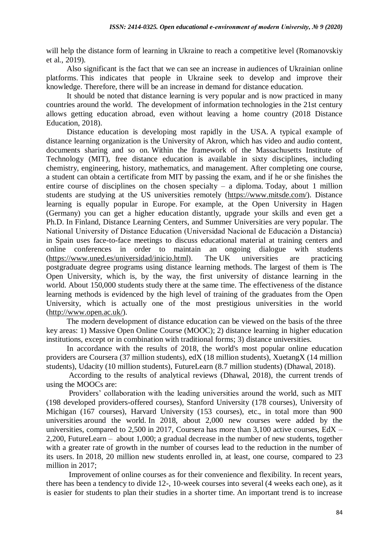will help the distance form of learning in Ukraine to reach a competitive level (Romanovskiy et al., 2019).

Also significant is the fact that we can see an increase in audiences of Ukrainian online platforms. This indicates that people in Ukraine seek to develop and improve their knowledge. Therefore, there will be an increase in demand for distance education.

It should be noted that distance learning is very popular and is now practiced in many countries around the world. The development of information technologies in the 21st century allows getting education abroad, even without leaving a home country (2018 Distance Education, 2018).

Distance education is developing most rapidly in the USA. A typical example of distance learning organization is the University of Akron, which has video and audio content, documents sharing and so on. Within the framework of the Massachusetts Institute of Technology (MIT), free distance education is available in sixty disciplines, including chemistry, engineering, history, mathematics, and management. After completing one course, a student can obtain a certificate from MIT by passing the exam, and if he or she finishes the entire course of disciplines on the chosen specialty – a diploma. Today, about 1 million students are studying at the US universities remotely [\(https://www.mitsde.com/\)](https://www.mitsde.com/). Distance learning is equally popular in Europe. For example, at the Open University in Hagen (Germany) you can get a higher education distantly, upgrade your skills and even get a Ph.D. In Finland, Distance Learning Centers, and Summer Universities are very popular. The National University of Distance Education (Universidad Nacional de Educación a Distancia) in Spain uses face-to-face meetings to discuss educational material at training centers and online conferences in order to maintain an ongoing dialogue with students [\(https://www.uned.es/universidad/inicio.html\)](https://www.uned.es/universidad/inicio.html). The UK universities are practicing postgraduate degree programs using distance learning methods. The largest of them is The Open University, which is, by the way, the first university of distance learning in the world. About 150,000 students study there at the same time. The effectiveness of the distance learning methods is evidenced by the high level of training of the graduates from the Open University, which is actually one of the most prestigious universities in the world [\(http://www.open.ac.uk/\)](http://www.open.ac.uk/).

The modern development of distance education can be viewed on the basis of the three key areas: 1) Massive Open Online Course (MOOC); 2) distance learning in higher education institutions, except or in combination with traditional forms; 3) distance universities.

In accordance with the results of 2018, the world's most popular online education providers are Coursera (37 million students), edX (18 million students), XuetangX (14 million students), Udacity (10 million students), FutureLearn (8.7 million students) (Dhawal, 2018).

 According to the results of analytical reviews (Dhawal, 2018), the current trends of using the MOOCs are:

 Providers' collaboration with the leading universities around the world, such as MIT (198 developed providers-offered courses), Stanford University (178 courses), University of Michigan (167 courses), Harvard University (153 courses), etc., in total more than 900 universities around the world. In 2018, about 2,000 new courses were added by the universities, compared to 2,500 in 2017, Coursera has more than 3,100 active courses, EdX – 2,200, FutureLearn – about 1,000; a gradual decrease in the number of new students, together with a greater rate of growth in the number of courses lead to the reduction in the number of its users. In 2018, 20 million new students enrolled in, at least, one course, compared to 23 million in 2017;

Improvement of online courses as for their convenience and flexibility. In recent years, there has been a tendency to divide 12-, 10-week courses into several (4 weeks each one), as it is easier for students to plan their studies in a shorter time. An important trend is to increase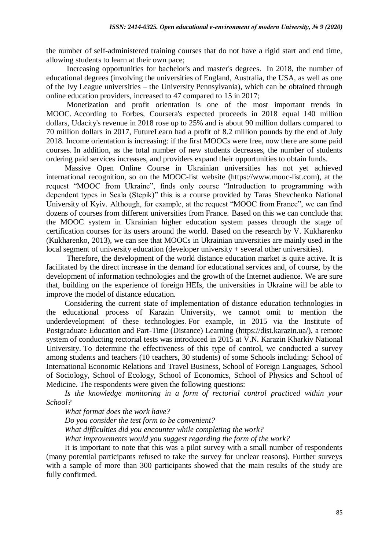the number of self-administered training courses that do not have a rigid start and end time, allowing students to learn at their own pace;

Increasing opportunities for bachelor's and master's degrees. In 2018, the number of educational degrees (involving the universities of England, Australia, the USA, as well as one of the Ivy League universities – the University Pennsylvania), which can be obtained through online education providers, increased to 47 compared to 15 in 2017;

Monetization and profit orientation is one of the most important trends in MOOC. According to Forbes, Coursera's expected proceeds in 2018 equal 140 million dollars, Udacity's revenue in 2018 rose up to 25% and is about 90 million dollars compared to 70 million dollars in 2017, FutureLearn had a profit of 8.2 million pounds by the end of July 2018. Income orientation is increasing: if the first MOOCs were free, now there are some paid courses. In addition, as the total number of new students decreases, the number of students ordering paid services increases, and providers expand their opportunities to obtain funds.

Massive Open Online Course in Ukrainian universities has not yet achieved international recognition, so on the MOOC-list website (https://www.mooc-list.com), at the request "MOOC from Ukraine", finds only course "Introduction to programming with dependent types in Scala (Stepik)" this is a course provided by Taras Shevchenko National University of Kyiv. Although, for example, at the request "MOOC from France", we can find dozens of courses from different universities from France. Based on this we can conclude that the MOOC system in Ukrainian higher education system passes through the stage of certification courses for its users around the world. Based on the research by V. Kukharenko (Kukharenko, 2013), we can see that MOOCs in Ukrainian universities are mainly used in the local segment of university education (developer university + several other universities).

Therefore, the development of the world distance education market is quite active. It is facilitated by the direct increase in the demand for educational services and, of course, by the development of information technologies and the growth of the Internet audience. We are sure that, building on the experience of foreign HEIs, the universities in Ukraine will be able to improve the model of distance education.

Considering the current state of implementation of distance education technologies in the educational process of Karazin University, we cannot omit to mention the underdevelopment of these technologies. For example, in 2015 via the Institute of Postgraduate Education and Part-Time (Distance) Learning [\(https://dist.karazin.ua/\)](https://dist.karazin.ua/), a remote system of conducting rectorial tests was introduced in 2015 at V.N. Karazin Kharkiv National University. To determine the effectiveness of this type of control, we conducted a survey among students and teachers (10 teachers, 30 students) of some Schools including: School of International Economic Relations and Travel Business, School of Foreign Languages, School of Sociology, School of Ecology, School of Economics, School of Physics and School of Medicine. The respondents were given the following questions:

*Is the knowledge monitoring in a form of rectorial control practiced within your School?*

*What format does the work have?*

*Do you consider the test form to be convenient?*

*What difficulties did you encounter while completing the work?*

*What improvements would you suggest regarding the form of the work?*

It is important to note that this was a pilot survey with a small number of respondents (many potential participants refused to take the survey for unclear reasons). Further surveys with a sample of more than 300 participants showed that the main results of the study are fully confirmed.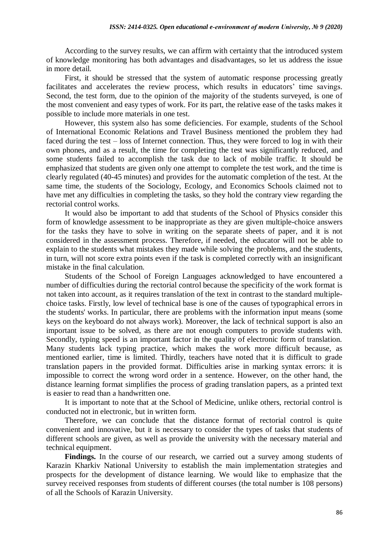According to the survey results, we can affirm with certainty that the introduced system of knowledge monitoring has both advantages and disadvantages, so let us address the issue in more detail.

First, it should be stressed that the system of automatic response processing greatly facilitates and accelerates the review process, which results in educators' time savings. Second, the test form, due to the opinion of the majority of the students surveyed, is one of the most convenient and easy types of work. For its part, the relative ease of the tasks makes it possible to include more materials in one test.

However, this system also has some deficiencies. For example, students of the School of International Economic Relations and Travel Business mentioned the problem they had faced during the test – loss of Internet connection. Thus, they were forced to log in with their own phones, and as a result, the time for completing the test was significantly reduced, and some students failed to accomplish the task due to lack of mobile traffic. It should be emphasized that students are given only one attempt to complete the test work, and the time is clearly regulated (40-45 minutes) and provides for the automatic completion of the test. At the same time, the students of the Sociology, Ecology, and Economics Schools claimed not to have met any difficulties in completing the tasks, so they hold the contrary view regarding the rectorial control works.

It would also be important to add that students of the School of Physics consider this form of knowledge assessment to be inappropriate as they are given multiple-choice answers for the tasks they have to solve in writing on the separate sheets of paper, and it is not considered in the assessment process. Therefore, if needed, the educator will not be able to explain to the students what mistakes they made while solving the problems, and the students, in turn, will not score extra points even if the task is completed correctly with an insignificant mistake in the final calculation.

Students of the School of Foreign Languages acknowledged to have encountered a number of difficulties during the rectorial control because the specificity of the work format is not taken into account, as it requires translation of the text in contrast to the standard multiplechoice tasks. Firstly, low level of technical base is one of the causes of typographical errors in the students' works. In particular, there are problems with the information input means (some keys on the keyboard do not always work). Moreover, the lack of technical support is also an important issue to be solved, as there are not enough computers to provide students with. Secondly, typing speed is an important factor in the quality of electronic form of translation. Many students lack typing practice, which makes the work more difficult because, as mentioned earlier, time is limited. Thirdly, teachers have noted that it is difficult to grade translation papers in the provided format. Difficulties arise in marking syntax errors: it is impossible to correct the wrong word order in a sentence. However, on the other hand, the distance learning format simplifies the process of grading translation papers, as a printed text is easier to read than a handwritten one.

It is important to note that at the School of Medicine, unlike others, rectorial control is conducted not in electronic, but in written form.

Therefore, we can conclude that the distance format of rectorial control is quite convenient and innovative, but it is necessary to consider the types of tasks that students of different schools are given, as well as provide the university with the necessary material and technical equipment.

**Findings.** In the course of our research, we carried out a survey among students of Karazin Kharkiv National University to establish the main implementation strategies and prospects for the development of distance learning. We would like to emphasize that the survey received responses from students of different courses (the total number is 108 persons) of all the Schools of Karazin University.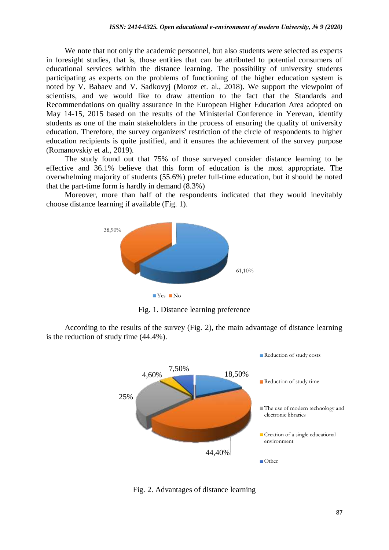We note that not only the academic personnel, but also students were selected as experts in foresight studies, that is, those entities that can be attributed to potential consumers of educational services within the distance learning. The possibility of university students participating as experts on the problems of functioning of the higher education system is noted by V. Babaev and V. Sadkovyj (Moroz et. al., 2018). We support the viewpoint of scientists, and we would like to draw attention to the fact that the Standards and Recommendations on quality assurance in the European Higher Education Area adopted on May 14-15, 2015 based on the results of the Ministerial Conference in Yerevan, identify students as one of the main stakeholders in the process of ensuring the quality of university education. Therefore, the survey organizers' restriction of the circle of respondents to higher education recipients is quite justified, and it ensures the achievement of the survey purpose (Romanovskiy et al., 2019).

The study found out that 75% of those surveyed consider distance learning to be effective and 36.1% believe that this form of education is the most appropriate. The overwhelming majority of students (55.6%) prefer full-time education, but it should be noted that the part-time form is hardly in demand (8.3%)

Moreover, more than half of the respondents indicated that they would inevitably choose distance learning if available (Fig. 1).



Fig. 1. Distance learning preference

According to the results of the survey (Fig. 2), the main advantage of distance learning is the reduction of study time (44.4%).



Fig. 2. Advantages of distance learning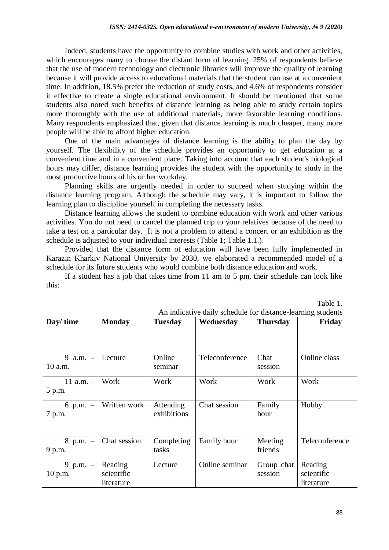Indeed, students have the opportunity to combine studies with work and other activities, which encourages many to choose the distant form of learning. 25% of respondents believe that the use of modern technology and electronic libraries will improve the quality of learning because it will provide access to educational materials that the student can use at a convenient time. In addition, 18.5% prefer the reduction of study costs, and 4.6% of respondents consider it effective to create a single educational environment. It should be mentioned that some students also noted such benefits of distance learning as being able to study certain topics more thoroughly with the use of additional materials, more favorable learning conditions. Many respondents emphasized that, given that distance learning is much cheaper, many more people will be able to afford higher education.

One of the main advantages of distance learning is the ability to plan the day by yourself. The flexibility of the schedule provides an opportunity to get education at a convenient time and in a convenient place. Taking into account that each student's biological hours may differ, distance learning provides the student with the opportunity to study in the most productive hours of his or her workday.

Planning skills are urgently needed in order to succeed when studying within the distance learning program. Although the schedule may vary, it is important to follow the learning plan to discipline yourself in completing the necessary tasks.

Distance learning allows the student to combine education with work and other various activities. You do not need to cancel the planned trip to your relatives because of the need to take a test on a particular day. It is not a problem to attend a concert or an exhibition as the schedule is adjusted to your individual interests (Table 1; Table 1.1.).

Provided that the distance form of education will have been fully implemented in Karazin Kharkiv National University by 2030, we elaborated a recommended model of a schedule for its future students who would combine both distance education and work.

If a student has a job that takes time from 11 am to 5 pm, their schedule can look like this:

| An indicative daily schedule for distance-learning students |                                     |                          |                |                       |                                     |
|-------------------------------------------------------------|-------------------------------------|--------------------------|----------------|-----------------------|-------------------------------------|
| Day/time                                                    | <b>Monday</b>                       | <b>Tuesday</b>           | Wednesday      | <b>Thursday</b>       | Friday                              |
|                                                             |                                     |                          |                |                       |                                     |
| 9<br>$a.m. =$<br>10 a.m.                                    | Lecture                             | Online<br>seminar        | Teleconference | Chat<br>session       | Online class                        |
| 11 a.m. $-$<br>5 p.m.                                       | Work                                | Work                     | Work           | Work                  | Work                                |
| 6 p.m. $-$<br>7 p.m.                                        | Written work                        | Attending<br>exhibitions | Chat session   | Family<br>hour        | Hobby                               |
| 8 p.m. $-$<br>9 p.m.                                        | Chat session                        | Completing<br>tasks      | Family hour    | Meeting<br>friends    | Teleconference                      |
| 9 p.m. $-$<br>10 p.m.                                       | Reading<br>scientific<br>literature | Lecture                  | Online seminar | Group chat<br>session | Reading<br>scientific<br>literature |

An indicative daily schedule for distance-learning students

Table 1.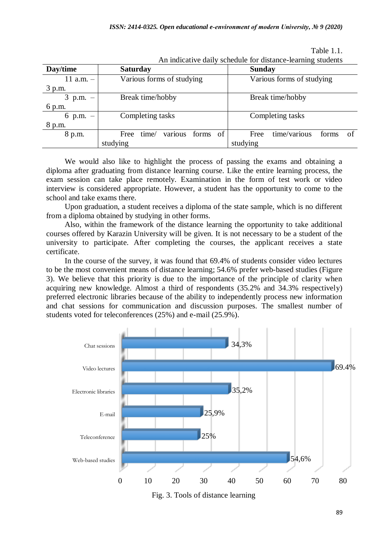| Day/time     | <b>Saturday</b>                         | <b>Sunday</b>                       |  |  |
|--------------|-----------------------------------------|-------------------------------------|--|--|
| 11 a.m. $-$  | Various forms of studying               | Various forms of studying           |  |  |
| 3 p.m.       |                                         |                                     |  |  |
| $3$ p.m. $-$ | Break time/hobby                        | Break time/hobby                    |  |  |
| 6 p.m.       |                                         |                                     |  |  |
| 6 p.m. $-$   | Completing tasks                        | Completing tasks                    |  |  |
| 8 p.m.       |                                         |                                     |  |  |
| 8 p.m.       | various<br>forms<br>of<br>Free<br>time/ | time/various<br>οf<br>Free<br>forms |  |  |
|              | studying                                | studying                            |  |  |

Table 1.1. An indicative daily schedule for distance-learning students

We would also like to highlight the process of passing the exams and obtaining a diploma after graduating from distance learning course. Like the entire learning process, the exam session can take place remotely. Examination in the form of test work or video interview is considered appropriate. However, a student has the opportunity to come to the school and take exams there.

Upon graduation, a student receives a diploma of the state sample, which is no different from a diploma obtained by studying in other forms.

Also, within the framework of the distance learning the opportunity to take additional courses offered by Karazin University will be given. It is not necessary to be a student of the university to participate. After completing the courses, the applicant receives a state certificate.

In the course of the survey, it was found that 69.4% of students consider video lectures to be the most convenient means of distance learning; 54.6% prefer web-based studies (Figure 3). We believe that this priority is due to the importance of the principle of clarity when acquiring new knowledge. Almost a third of respondents (35.2% and 34.3% respectively) preferred electronic libraries because of the ability to independently process new information and chat sessions for communication and discussion purposes. The smallest number of students voted for teleconferences (25%) and e-mail (25.9%).



Fig. 3. Tools of distance learning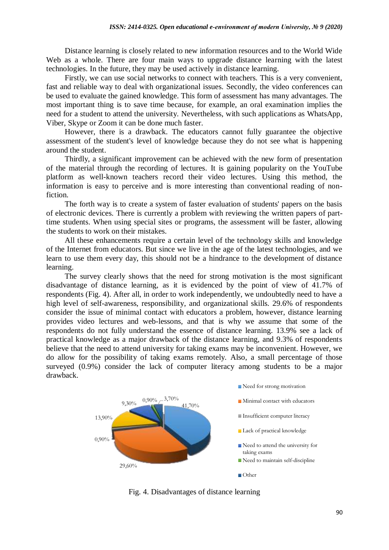Distance learning is closely related to new information resources and to the World Wide Web as a whole. There are four main ways to upgrade distance learning with the latest technologies. In the future, they may be used actively in distance learning.

Firstly, we can use social networks to connect with teachers. This is a very convenient, fast and reliable way to deal with organizational issues. Secondly, the video conferences can be used to evaluate the gained knowledge. This form of assessment has many advantages. The most important thing is to save time because, for example, an oral examination implies the need for a student to attend the university. Nevertheless, with such applications as WhatsApp, Viber, Skype or Zoom it can be done much faster.

However, there is a drawback. The educators cannot fully guarantee the objective assessment of the student's level of knowledge because they do not see what is happening around the student.

Thirdly, a significant improvement can be achieved with the new form of presentation of the material through the recording of lectures. It is gaining popularity on the YouTube platform as well-known teachers record their video lectures. Using this method, the information is easy to perceive and is more interesting than conventional reading of nonfiction.

The forth way is to create a system of faster evaluation of students' papers on the basis of electronic devices. There is currently a problem with reviewing the written papers of parttime students. When using special sites or programs, the assessment will be faster, allowing the students to work on their mistakes.

All these enhancements require a certain level of the technology skills and knowledge of the Internet from educators. But since we live in the age of the latest technologies, and we learn to use them every day, this should not be a hindrance to the development of distance learning.

The survey clearly shows that the need for strong motivation is the most significant disadvantage of distance learning, as it is evidenced by the point of view of 41.7% of respondents (Fig. 4). After all, in order to work independently, we undoubtedly need to have a high level of self-awareness, responsibility, and organizational skills. 29.6% of respondents consider the issue of minimal contact with educators a problem, however, distance learning provides video lectures and web-lessons, and that is why we assume that some of the respondents do not fully understand the essence of distance learning. 13.9% see a lack of practical knowledge as a major drawback of the distance learning, and 9.3% of respondents believe that the need to attend university for taking exams may be inconvenient. However, we do allow for the possibility of taking exams remotely. Also, a small percentage of those surveyed (0.9%) consider the lack of computer literacy among students to be a major drawback.



Fig. 4. Disadvantages of distance learning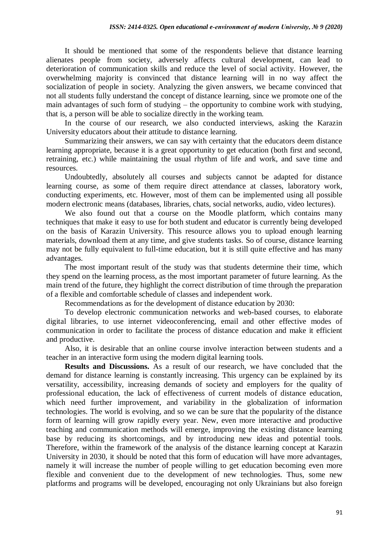It should be mentioned that some of the respondents believe that distance learning alienates people from society, adversely affects cultural development, can lead to deterioration of communication skills and reduce the level of social activity. However, the overwhelming majority is convinced that distance learning will in no way affect the socialization of people in society. Analyzing the given answers, we became convinced that not all students fully understand the concept of distance learning, since we promote one of the main advantages of such form of studying – the opportunity to combine work with studying, that is, a person will be able to socialize directly in the working team.

In the course of our research, we also conducted interviews, asking the Karazin University educators about their attitude to distance learning.

Summarizing their answers, we can say with certainty that the educators deem distance learning appropriate, because it is a great opportunity to get education (both first and second, retraining, etc.) while maintaining the usual rhythm of life and work, and save time and resources.

Undoubtedly, absolutely all courses and subjects cannot be adapted for distance learning course, as some of them require direct attendance at classes, laboratory work, conducting experiments, etc. However, most of them can be implemented using all possible modern electronic means (databases, libraries, chats, social networks, audio, video lectures).

We also found out that a course on the Moodle platform, which contains many techniques that make it easy to use for both student and educator is currently being developed on the basis of Karazin University. This resource allows you to upload enough learning materials, download them at any time, and give students tasks. So of course, distance learning may not be fully equivalent to full-time education, but it is still quite effective and has many advantages.

The most important result of the study was that students determine their time, which they spend on the learning process, as the most important parameter of future learning. As the main trend of the future, they highlight the correct distribution of time through the preparation of a flexible and comfortable schedule of classes and independent work.

Recommendations as for the development of distance education by 2030:

To develop electronic communication networks and web-based courses, to elaborate digital libraries, to use internet videoconferencing, email and other effective modes of communication in order to facilitate the process of distance education and make it efficient and productive.

Also, it is desirable that an online course involve interaction between students and a teacher in an interactive form using the modern digital learning tools.

**Results and Discussions.** As a result of our research, we have concluded that the demand for distance learning is constantly increasing. This urgency can be explained by its versatility, accessibility, increasing demands of society and employers for the quality of professional education, the lack of effectiveness of current models of distance education, which need further improvement, and variability in the globalization of information technologies. The world is evolving, and so we can be sure that the popularity of the distance form of learning will grow rapidly every year. New, even more interactive and productive teaching and communication methods will emerge, improving the existing distance learning base by reducing its shortcomings, and by introducing new ideas and potential tools. Therefore, within the framework of the analysis of the distance learning concept at Karazin University in 2030, it should be noted that this form of education will have more advantages, namely it will increase the number of people willing to get education becoming even more flexible and convenient due to the development of new technologies. Thus, some new platforms and programs will be developed, encouraging not only Ukrainians but also foreign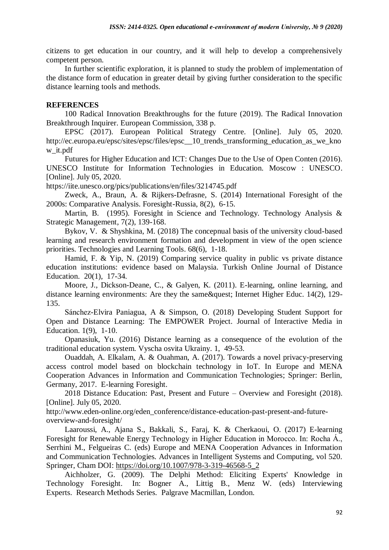citizens to get education in our country, and it will help to develop a comprehensively competent person.

In further scientific exploration, it is planned to study the problem of implementation of the distance form of education in greater detail by giving further consideration to the specific distance learning tools and methods.

## **REFERENCES**

100 Radical Innovation Breakthroughs for the future (2019). The Radical Innovation Breakthrough Inquirer. European Commission, 338 р.

EPSC (2017). European Political Strategy Centre. [Online]. July 05, 2020. http://ec.europa.eu/epsc/sites/epsc/files/epsc\_\_10\_trends\_transforming\_education\_as\_we\_kno w\_it.pdf

Futures for Higher Education and ICT: Changes Due to the Use of Open Conten (2016). UNESCO Institute for Information Technologies in Education. Moscow : UNESCO. [Online]. July 05, 2020.

https://iite.unesco.org/pics/publications/en/files/3214745.pdf

Zweck, A., Braun, A. & Rijkers-Defrasne, S. (2014) International Foresight of the 2000s: Comparative Analysis. Foresight-Russia, 8(2), 6-15.

Martin, B. (1995). Foresight in Science and Technology. Technology Analysis & Strategic Management, 7(2), 139-168.

Bykov, V. & Shyshkina, M. (2018) The concepnual basis of the university cloud-based learning and research environment formation and development in view of the open science priorities. Technologies and Learning Tools. 68(6), 1-18.

Hamid, F. & Yip, N. (2019) Comparing service quality in public vs private distance education institutions: evidence based on Malaysia. Turkish Online Journal оf Distance Education. 20(1), 17-34.

Moore, J., Dickson-Deane, C., & Galyen, K. (2011). E-learning, online learning, and distance learning environments: Are they the same & quest; Internet Higher Educ.  $14(2)$ ,  $129$ -135.

Sánchez-Elvira Paniagua, A & Simpson, O. (2018) Developing Student Support for Open and Distance Learning: The EMPOWER Project. Journal of Interactive Media in Education. 1(9), 1-10.

Opanasiuk, Yu. (2016) Distance learning as a consequence of the evolution of the traditional education system. Vyscha osvita Ukrainy. 1, 49-53.

Ouaddah, A. Elkalam, A. & Ouahman, A. (2017). Towards a novel privacy-preserving access control model based on blockchain technology in IoT. In Europe and MENA Cooperation Advances in Information and Communication Technologies; Springer: Berlin, Germany, 2017. E-learning Foresight.

2018 Distance Education: Past, Present and Future – Overview and Foresight (2018). [Online]. July 05, 2020.

http://www.eden-online.org/eden\_conference/distance-education-past-present-and-futureoverview-and-foresight/

Laaroussi, A., Ajana S., Bakkali, S., Faraj, K. & Cherkaoui, O. (2017) E-learning Foresight for Renewable Energy Technology in Higher Education in Morocco. In: Rocha Á., Serrhini M., Felgueiras C. (eds) Europe and MENA Cooperation Advances in Information and Communication Technologies. Advances in Intelligent Systems and Computing, vol 520. Springer, Cham DOI: [https://doi.org/10.1007/978-3-319-46568-5\\_2](https://doi.org/10.1007/978-3-319-46568-5_2)

Aichholzer, G. (2009). The Delphi Method: Eliciting Experts' Knowledge in Technology Foresight. In: Bogner A., Littig B., Menz W. (eds) Interviewing Experts. Research Methods Series. Palgrave Macmillan, London.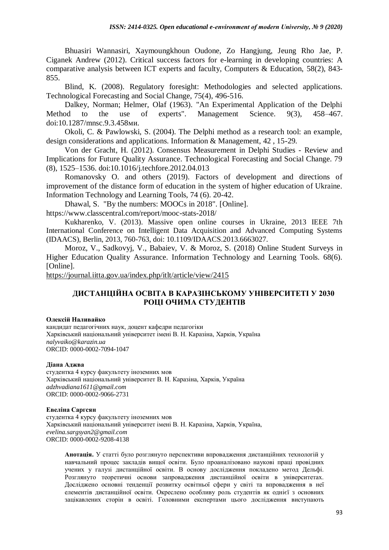Bhuasiri Wannasiri, Xaymoungkhoun Oudone, Zo Hangjung, Jeung Rho Jae, P. Ciganek Andrew (2012). Critical success factors for e-learning in developing countries: A comparative analysis between ICT experts and faculty, Computers & Education, 58(2), 843- 855.

Blind, K. (2008). Regulatory foresight: Methodologies and selected applications. Technological Forecasting and Social Change, 75(4), 496-516.

Dalkey, Norman; Helmer, Olaf (1963). "An Experimental Application of the Delphi Method to the use of experts". Management Science. 9(3), 458–467. doi:10.1287/mnsc.9.3.458ми.

Okoli, C. & Pawlowski, S. (2004). The Delphi method as a research tool: an example, design considerations and applications. Information & Management, 42 , 15-29.

Von der Gracht, H. (2012). Consensus Measurement in Delphi Studies - Review and Implications for Future Quality Assurance. Technological Forecasting and Social Change. 79 (8), 1525–1536. doi:10.1016/j.techfore.2012.04.013

Romanovsky O. and others (2019). Factors of development and directions of improvement of the distance form of education in the system of higher education of Ukraine. Information Technology and Learning Tools, 74 (6). 20-42.

Dhawal, S. "By the numbers: MOOCs in 2018". [Online].

https://www.classcentral.com/report/mooc-stats-2018/

Kukharenko, V. (2013). Massive open online courses in Ukraine, 2013 IEEE 7th International Conference on Intelligent Data Acquisition and Advanced Computing Systems (IDAACS), Berlin, 2013, 760-763, doi: 10.1109/IDAACS.2013.6663027.

Moroz, V., Sadkovyj, V., Babaiev, V. & Moroz, S. (2018) Online Student Surveys in Higher Education Quality Assurance. Information Technology and Learning Tools. 68(6). [Online].

<https://journal.iitta.gov.ua/index.php/itlt/article/view/2415>

# **ДИСТАНЦІЙНА ОСВІТА В КАРАЗІНСЬКОМУ УНІВЕРСИТЕТІ У 2030 РОЦІ ОЧИМА СТУДЕНТІВ**

### **Олексій Наливайко**

кандидат педагогічних наук, доцент кафедри педагогіки Харківський національний університет імені В. Н. Каразіна, Харків, Україна *nalyvaiko@karazin.ua* ORCID: 0000-0002-7094-1047

### **Діана Аджва**

студентка 4 курсу факультету іноземних мов Харківський національний університет В. Н. Каразіна, Харків, Україна *adzhvadiana1611@gmail.com* ORCID: 0000-0002-9066-2731

### **Евеліна Саргсян**

студентка 4 курсу факультету іноземних мов Харківський національний університет імені В. Н. Каразіна, Харків, Україна, *evelina.sargsyan2@gmail.com* ORCID: 0000-0002-9208-4138

**Анотація.** У статті було розглянуто перспективи впровадження дистанційних технологій у навчальний процес закладів вищої освіти. Було проаналізовано наукові праці провідних учених у галузі дистанційної освіти. В основу дослідження покладено метод Дельфі. Розглянуто теоретичні основи запровадження дистанційної освіти в університетах. Досліджено основні тенденції розвитку освітньої сфери у світі та впровадження в неї елементів дистанційної освіти. Окреслено особливу роль студентів як однієї з основних зацікавлених сторін в освіті. Головними експертами цього дослідження виступають